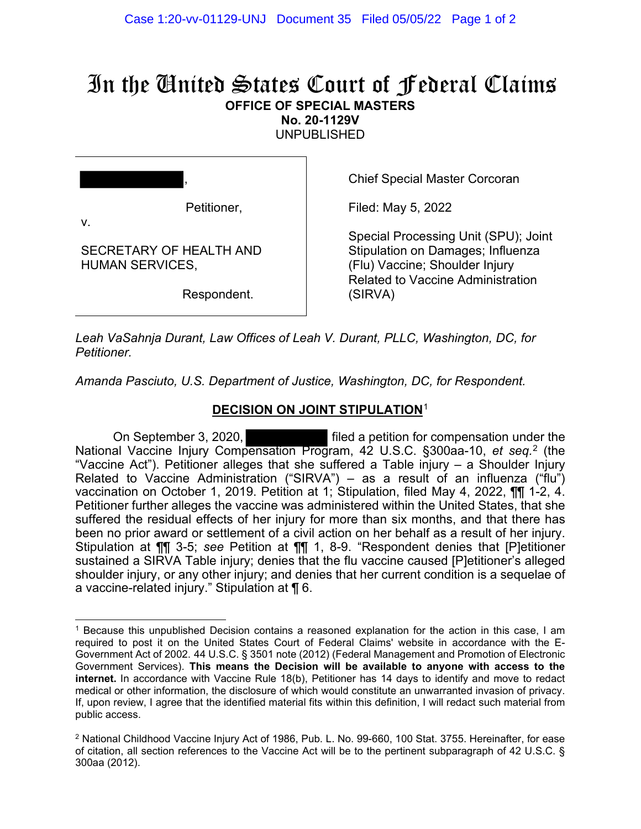## In the United States Court of Federal Claims **OFFICE OF SPECIAL MASTERS**

**No. 20-1129V** 

UNPUBLISHED

|    | $\overline{\phantom{a}}$ |
|----|--------------------------|
| v. | Petitioner,              |

SECRETARY OF HEALTH AND

HUMAN SERVICES,

Chief Special Master Corcoran

Filed: May 5, 2022

Special Processing Unit (SPU); Joint Stipulation on Damages; Influenza (Flu) Vaccine; Shoulder Injury Related to Vaccine Administration (SIRVA)

Respondent.

*Leah VaSahnja Durant, Law Offices of Leah V. Durant, PLLC, Washington, DC, for Petitioner.*

*Amanda Pasciuto, U.S. Department of Justice, Washington, DC, for Respondent.*

## **DECISION ON JOINT STIPULATION**<sup>1</sup>

On September 3, 2020, filed a petition for compensation under the National Vaccine Injury Compensation Program, 42 U.S.C. §300aa-10, *et seq.* 2 (the "Vaccine Act"). Petitioner alleges that she suffered a Table injury – a Shoulder Injury Related to Vaccine Administration ("SIRVA") – as a result of an influenza ("flu") vaccination on October 1, 2019. Petition at 1; Stipulation, filed May 4, 2022, ¶¶ 1-2, 4. Petitioner further alleges the vaccine was administered within the United States, that she suffered the residual effects of her injury for more than six months, and that there has been no prior award or settlement of a civil action on her behalf as a result of her injury. Stipulation at ¶¶ 3-5; *see* Petition at ¶¶ 1, 8-9. "Respondent denies that [P]etitioner sustained a SIRVA Table injury; denies that the flu vaccine caused [P]etitioner's alleged shoulder injury, or any other injury; and denies that her current condition is a sequelae of a vaccine-related injury." Stipulation at ¶ 6.

<sup>1</sup> Because this unpublished Decision contains a reasoned explanation for the action in this case, I am required to post it on the United States Court of Federal Claims' website in accordance with the E-Government Act of 2002. 44 U.S.C. § 3501 note (2012) (Federal Management and Promotion of Electronic Government Services). **This means the Decision will be available to anyone with access to the internet.** In accordance with Vaccine Rule 18(b), Petitioner has 14 days to identify and move to redact medical or other information, the disclosure of which would constitute an unwarranted invasion of privacy. If, upon review, I agree that the identified material fits within this definition, I will redact such material from public access.

<sup>2</sup> National Childhood Vaccine Injury Act of 1986, Pub. L. No. 99-660, 100 Stat. 3755. Hereinafter, for ease of citation, all section references to the Vaccine Act will be to the pertinent subparagraph of 42 U.S.C. § 300aa (2012).